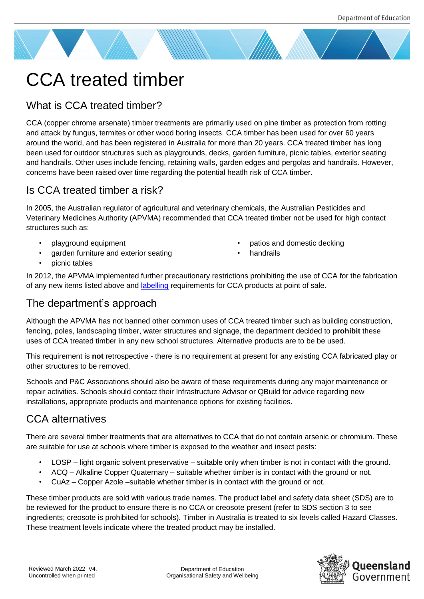# CCA treated timber

## What is CCA treated timber?

CCA (copper chrome arsenate) timber treatments are primarily used on pine timber as protection from rotting and attack by fungus, termites or other wood boring insects. CCA timber has been used for over 60 years around the world, and has been registered in Australia for more than 20 years. CCA treated timber has long been used for outdoor structures such as playgrounds, decks, garden furniture, picnic tables, exterior seating and handrails. Other uses include fencing, retaining walls, garden edges and pergolas and handrails. However, concerns have been raised over time regarding the potential heatlh risk of CCA timber.

## Is CCA treated timber a risk?

In 2005, the Australian regulator of agricultural and veterinary chemicals, the Australian Pesticides and Veterinary Medicines Authority (APVMA) recommended that CCA treated timber not be used for high contact structures such as:

- playground equipment
- garden furniture and exterior seating
- patios and domestic decking
- **handrails**

• picnic tables

In 2012, the APVMA implemented further precautionary restrictions prohibiting the use of CCA for the fabrication of any new items listed above and [labelling](https://apvma.gov.au/node/11751) requirements for CCA products at point of sale.

#### The department's approach

Although the APVMA has not banned other common uses of CCA treated timber such as building construction, fencing, poles, landscaping timber, water structures and signage, the department decided to **prohibit** these uses of CCA treated timber in any new school structures. Alternative products are to be be used.

This requirement is **not** retrospective - there is no requirement at present for any existing CCA fabricated play or other structures to be removed.

Schools and P&C Associations should also be aware of these requirements during any major maintenance or repair activities. Schools should contact their Infrastructure Advisor or QBuild for advice regarding new installations, appropriate products and maintenance options for existing facilities.

## CCA alternatives

There are several timber treatments that are alternatives to CCA that do not contain arsenic or chromium. These are suitable for use at schools where timber is exposed to the weather and insect pests:

- LOSP light organic solvent preservative suitable only when timber is not in contact with the ground.
- ACQ Alkaline Copper Quaternary suitable whether timber is in contact with the ground or not.
- CuAz Copper Azole –suitable whether timber is in contact with the ground or not.

These timber products are sold with various trade names. The product label and safety data sheet (SDS) are to be reviewed for the product to ensure there is no CCA or creosote present (refer to SDS section 3 to see ingredients; creosote is prohibited for schools). Timber in Australia is treated to six levels called Hazard Classes. These treatment levels indicate where the treated product may be installed.